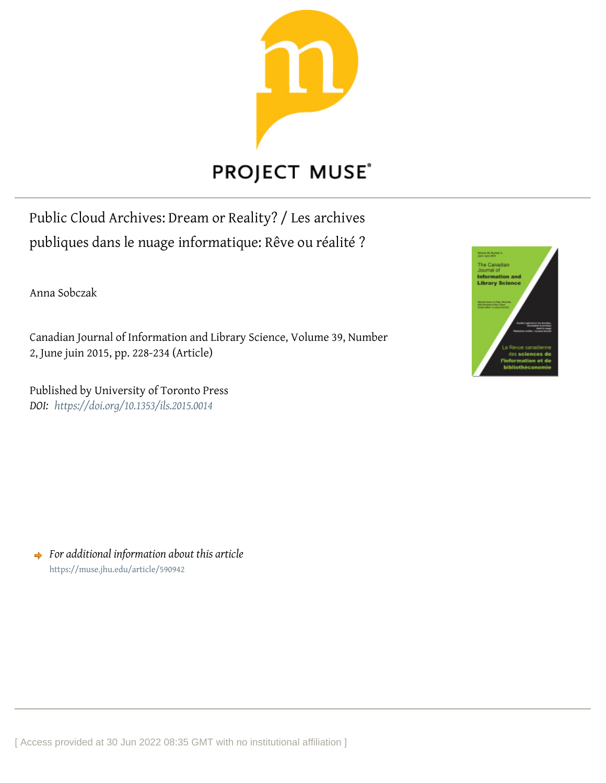

# PROJECT MUSE®

Public Cloud Archives: Dream or Reality? / Les archives publiques dans le nuage informatique: Rêve ou réalité ?

Anna Sobczak

Canadian Journal of Information and Library Science, Volume 39, Number 2, June juin 2015, pp. 228-234 (Article)

Published by University of Toronto Press *DOI: <https://doi.org/10.1353/ils.2015.0014>*



*For additional information about this article* <https://muse.jhu.edu/article/590942>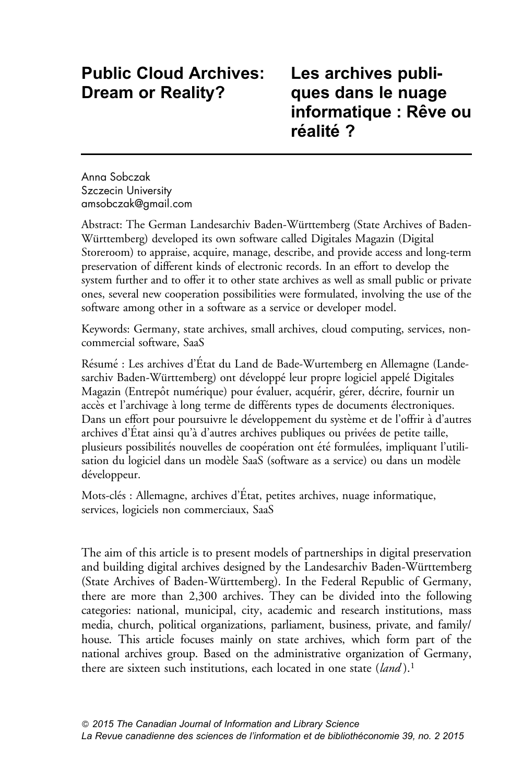## Public Cloud Archives: Dream or Reality?

## Les archives publiques dans le nuage informatique : Rêve ou réalité?

Anna Sobczak Szczecin University <amsobczak@gmail.com>

Abstract: The German Landesarchiv Baden-Wu¨rttemberg (State Archives of Baden-Württemberg) developed its own software called Digitales Magazin (Digital Storeroom) to appraise, acquire, manage, describe, and provide access and long-term preservation of different kinds of electronic records. In an effort to develop the system further and to offer it to other state archives as well as small public or private ones, several new cooperation possibilities were formulated, involving the use of the software among other in a software as a service or developer model.

Keywords: Germany, state archives, small archives, cloud computing, services, noncommercial software, SaaS

Résumé : Les archives d'État du Land de Bade-Wurtemberg en Allemagne (Landesarchiv Baden-Württemberg) ont développé leur propre logiciel appelé Digitales Magazin (Entrepôt numérique) pour évaluer, acquérir, gérer, décrire, fournir un accès et l'archivage à long terme de différents types de documents électroniques. Dans un effort pour poursuivre le développement du système et de l'offrir à d'autres archives d'Etat ainsi qu'à d'autres archives publiques ou privées de petite taille, plusieurs possibilités nouvelles de coopération ont été formulées, impliquant l'utilisation du logiciel dans un modèle SaaS (software as a service) ou dans un modèle développeur.

Mots-clés : Allemagne, archives d'État, petites archives, nuage informatique, services, logiciels non commerciaux, SaaS

The aim of this article is to present models of partnerships in digital preservation and building digital archives designed by the Landesarchiv Baden-Württemberg (State Archives of Baden-Württemberg). In the Federal Republic of Germany, there are more than 2,300 archives. They can be divided into the following categories: national, municipal, city, academic and research institutions, mass media, church, political organizations, parliament, business, private, and family/ house. This article focuses mainly on state archives, which form part of the national archives group. Based on the administrative organization of Germany, there are sixteen such institutions, each located in one state  $(land)$ .<sup>1</sup>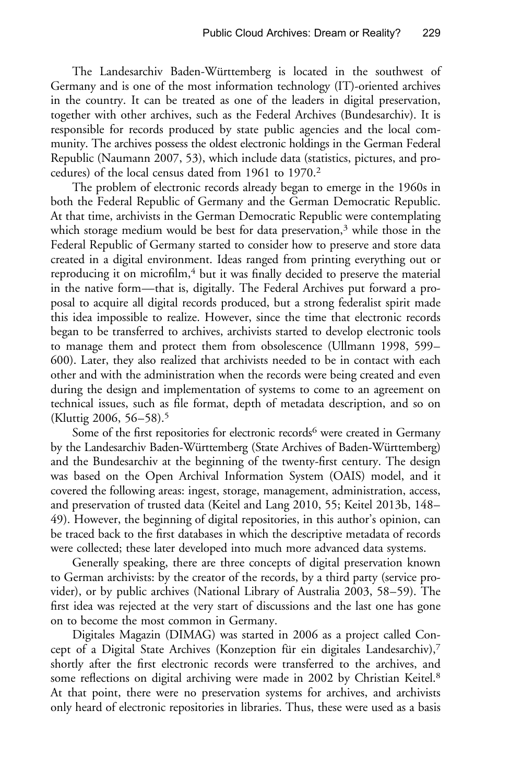The Landesarchiv Baden-Württemberg is located in the southwest of Germany and is one of the most information technology (IT)-oriented archives in the country. It can be treated as one of the leaders in digital preservation, together with other archives, such as the Federal Archives (Bundesarchiv). It is responsible for records produced by state public agencies and the local community. The archives possess the oldest electronic holdings in the German Federal Republic ([Naumann 2007](#page-7-0), 53), which include data (statistics, pictures, and procedures) of the local census dated from 1961 to 1970.2

The problem of electronic records already began to emerge in the 1960s in both the Federal Republic of Germany and the German Democratic Republic. At that time, archivists in the German Democratic Republic were contemplating which storage medium would be best for data preservation,<sup>3</sup> while those in the Federal Republic of Germany started to consider how to preserve and store data created in a digital environment. Ideas ranged from printing everything out or reproducing it on microfilm,<sup>4</sup> but it was finally decided to preserve the material in the native form—that is, digitally. The Federal Archives put forward a proposal to acquire all digital records produced, but a strong federalist spirit made this idea impossible to realize. However, since the time that electronic records began to be transferred to archives, archivists started to develop electronic tools to manage them and protect them from obsolescence [\(Ullmann 1998,](#page-7-0) 599– 600). Later, they also realized that archivists needed to be in contact with each other and with the administration when the records were being created and even during the design and implementation of systems to come to an agreement on technical issues, such as file format, depth of metadata description, and so on [\(Kluttig 2006](#page-7-0), 56–58).5

Some of the first repositories for electronic records<sup>6</sup> were created in Germany by the Landesarchiv Baden-Württemberg (State Archives of Baden-Württemberg) and the Bundesarchiv at the beginning of the twenty-first century. The design was based on the Open Archival Information System (OAIS) model, and it covered the following areas: ingest, storage, management, administration, access, and preservation of trusted data [\(Keitel and Lang 2010](#page-6-0), 55; Keitel 2013b, 148– 49). However, the beginning of digital repositories, in this author's opinion, can be traced back to the first databases in which the descriptive metadata of records were collected; these later developed into much more advanced data systems.

Generally speaking, there are three concepts of digital preservation known to German archivists: by the creator of the records, by a third party (service provider), or by public archives [\(National Library of Australia 2003,](#page-7-0) 58–59). The first idea was rejected at the very start of discussions and the last one has gone on to become the most common in Germany.

Digitales Magazin (DIMAG) was started in 2006 as a project called Concept of a Digital State Archives (Konzeption für ein digitales Landesarchiv), $7$ shortly after the first electronic records were transferred to the archives, and some reflections on digital archiving were made in 2002 by Christian Keitel.<sup>8</sup> At that point, there were no preservation systems for archives, and archivists only heard of electronic repositories in libraries. Thus, these were used as a basis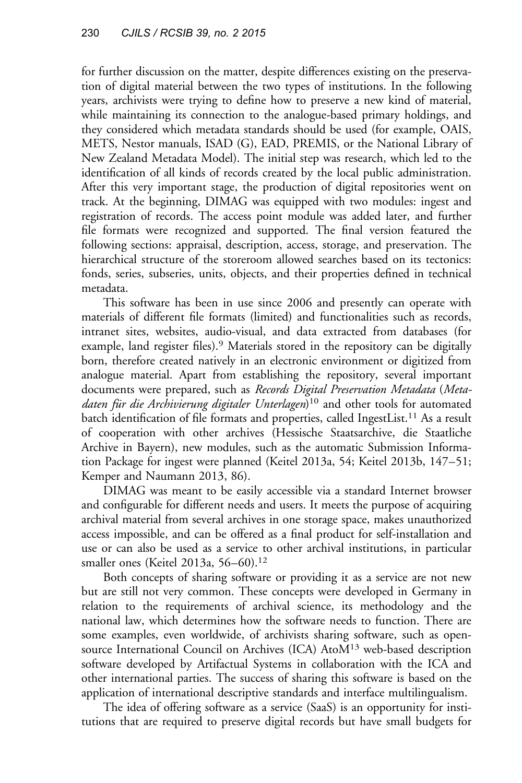for further discussion on the matter, despite differences existing on the preservation of digital material between the two types of institutions. In the following years, archivists were trying to define how to preserve a new kind of material, while maintaining its connection to the analogue-based primary holdings, and they considered which metadata standards should be used (for example, OAIS, METS, Nestor manuals, ISAD (G), EAD, PREMIS, or the National Library of New Zealand Metadata Model). The initial step was research, which led to the identification of all kinds of records created by the local public administration. After this very important stage, the production of digital repositories went on track. At the beginning, DIMAG was equipped with two modules: ingest and registration of records. The access point module was added later, and further file formats were recognized and supported. The final version featured the following sections: appraisal, description, access, storage, and preservation. The hierarchical structure of the storeroom allowed searches based on its tectonics: fonds, series, subseries, units, objects, and their properties defined in technical metadata.

This software has been in use since 2006 and presently can operate with materials of different file formats (limited) and functionalities such as records, intranet sites, websites, audio-visual, and data extracted from databases (for example, land register files).<sup>9</sup> Materials stored in the repository can be digitally born, therefore created natively in an electronic environment or digitized from analogue material. Apart from establishing the repository, several important documents were prepared, such as Records Digital Preservation Metadata (Metadaten für die Archivierung digitaler Unterlagen)<sup>10</sup> and other tools for automated batch identification of file formats and properties, called IngestList.<sup>11</sup> As a result of cooperation with other archives (Hessische Staatsarchive, die Staatliche Archive in Bayern), new modules, such as the automatic Submission Information Package for ingest were planned (Keitel 2013a, 54; Keitel 2013b, 147–51; [Kemper and Naumann 2013](#page-6-0), 86).

DIMAG was meant to be easily accessible via a standard Internet browser and configurable for different needs and users. It meets the purpose of acquiring archival material from several archives in one storage space, makes unauthorized access impossible, and can be offered as a final product for self-installation and use or can also be used as a service to other archival institutions, in particular smaller ones (Keitel 2013a, 56–60).<sup>12</sup>

Both concepts of sharing software or providing it as a service are not new but are still not very common. These concepts were developed in Germany in relation to the requirements of archival science, its methodology and the national law, which determines how the software needs to function. There are some examples, even worldwide, of archivists sharing software, such as opensource International Council on Archives (ICA) AtoM<sup>13</sup> web-based description software developed by Artifactual Systems in collaboration with the ICA and other international parties. The success of sharing this software is based on the application of international descriptive standards and interface multilingualism.

The idea of offering software as a service (SaaS) is an opportunity for institutions that are required to preserve digital records but have small budgets for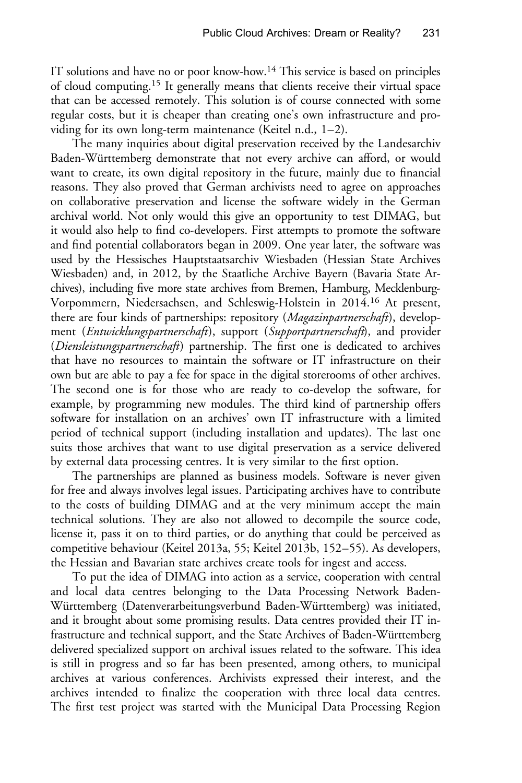IT solutions and have no or poor know-how.<sup>14</sup> This service is based on principles of cloud computing.15 It generally means that clients receive their virtual space that can be accessed remotely. This solution is of course connected with some regular costs, but it is cheaper than creating one's own infrastructure and providing for its own long-term maintenance [\(Keitel n.d.,](#page-6-0) 1–2).

The many inquiries about digital preservation received by the Landesarchiv Baden-Württemberg demonstrate that not every archive can afford, or would want to create, its own digital repository in the future, mainly due to financial reasons. They also proved that German archivists need to agree on approaches on collaborative preservation and license the software widely in the German archival world. Not only would this give an opportunity to test DIMAG, but it would also help to find co-developers. First attempts to promote the software and find potential collaborators began in 2009. One year later, the software was used by the Hessisches Hauptstaatsarchiv Wiesbaden (Hessian State Archives Wiesbaden) and, in 2012, by the Staatliche Archive Bayern (Bavaria State Archives), including five more state archives from Bremen, Hamburg, Mecklenburg-Vorpommern, Niedersachsen, and Schleswig-Holstein in 2014.<sup>16</sup> At present, there are four kinds of partnerships: repository (Magazinpartnerschaft), development (Entwicklungspartnerschaft), support (Supportpartnerschaft), and provider (Diensleistungspartnerschaft) partnership. The first one is dedicated to archives that have no resources to maintain the software or IT infrastructure on their own but are able to pay a fee for space in the digital storerooms of other archives. The second one is for those who are ready to co-develop the software, for example, by programming new modules. The third kind of partnership offers software for installation on an archives' own IT infrastructure with a limited period of technical support (including installation and updates). The last one suits those archives that want to use digital preservation as a service delivered by external data processing centres. It is very similar to the first option.

The partnerships are planned as business models. Software is never given for free and always involves legal issues. Participating archives have to contribute to the costs of building DIMAG and at the very minimum accept the main technical solutions. They are also not allowed to decompile the source code, license it, pass it on to third parties, or do anything that could be perceived as competitive behaviour (Keitel 2013a, 55; Keitel 2013b, 152–55). As developers, the Hessian and Bavarian state archives create tools for ingest and access.

To put the idea of DIMAG into action as a service, cooperation with central and local data centres belonging to the Data Processing Network Baden-Württemberg (Datenverarbeitungsverbund Baden-Württemberg) was initiated, and it brought about some promising results. Data centres provided their IT infrastructure and technical support, and the State Archives of Baden-Württemberg delivered specialized support on archival issues related to the software. This idea is still in progress and so far has been presented, among others, to municipal archives at various conferences. Archivists expressed their interest, and the archives intended to finalize the cooperation with three local data centres. The first test project was started with the Municipal Data Processing Region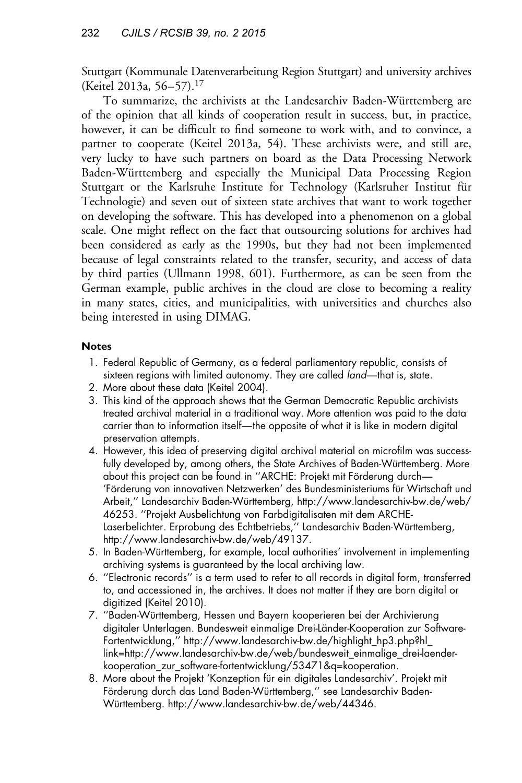Stuttgart (Kommunale Datenverarbeitung Region Stuttgart) and university archives (Keitel 2013a, 56–57).17

To summarize, the archivists at the Landesarchiv Baden-Württemberg are of the opinion that all kinds of cooperation result in success, but, in practice, however, it can be difficult to find someone to work with, and to convince, a partner to cooperate (Keitel 2013a, 54). These archivists were, and still are, very lucky to have such partners on board as the Data Processing Network Baden-Württemberg and especially the Municipal Data Processing Region Stuttgart or the Karlsruhe Institute for Technology (Karlsruher Institut für Technologie) and seven out of sixteen state archives that want to work together on developing the software. This has developed into a phenomenon on a global scale. One might reflect on the fact that outsourcing solutions for archives had been considered as early as the 1990s, but they had not been implemented because of legal constraints related to the transfer, security, and access of data by third parties ([Ullmann 1998,](#page-7-0) 601). Furthermore, as can be seen from the German example, public archives in the cloud are close to becoming a reality in many states, cities, and municipalities, with universities and churches also being interested in using DIMAG.

### **Notes**

- 1. Federal Republic of Germany, as a federal parliamentary republic, consists of sixteen regions with limited autonomy. They are called *land*—that is, state.
- 2. More about these data ([Keitel 2004](#page-6-0)).
- 3. This kind of the approach shows that the German Democratic Republic archivists treated archival material in a traditional way. More attention was paid to the data carrier than to information itself—the opposite of what it is like in modern digital preservation attempts.
- 4. However, this idea of preserving digital archival material on microfilm was successfully developed by, among others, the State Archives of Baden-Württemberg. More about this project can be found in "ARCHE: Projekt mit Förderung durch-'Förderung von innovativen Netzwerken' des Bundesministeriums für Wirtschaft und Arbeit," Landesarchiv Baden-Württemberg, [http://www.landesarchiv-bw.de/web/](http://www.landesarchiv-bw.de/web/46253) [46253](http://www.landesarchiv-bw.de/web/46253). ''Projekt Ausbelichtung von Farbdigitalisaten mit dem ARCHE-Laserbelichter. Erprobung des Echtbetriebs," Landesarchiv Baden-Württemberg, [http://www.landesarchiv-bw.de/web/49137.](http://www.landesarchiv-bw.de/web/49137)
- 5. In Baden-Württemberg, for example, local authorities' involvement in implementing archiving systems is guaranteed by the local archiving law.
- 6. ''Electronic records'' is a term used to refer to all records in digital form, transferred to, and accessioned in, the archives. It does not matter if they are born digital or digitized [\(Keitel 2010](#page-6-0)).
- 7. "Baden-Württemberg, Hessen und Bayern kooperieren bei der Archivierung digitaler Unterlagen. Bundesweit einmalige Drei-Länder-Kooperation zur Software-Fortentwicklung,'' [http://www.landesarchiv-bw.de/highlight\\_hp3.php?hl\\_](http://www.landesarchiv-bw.de/highlight_hp3.php?hl_link=http://www.landesarchiv-bw.de/web/bundesweit_einmalige_drei-laender-kooperation_zur_software-fortentwicklung/53471&q=kooperation) [link=http://www.landesarchiv-bw.de/web/bundesweit\\_einmalige\\_drei-laender](http://www.landesarchiv-bw.de/highlight_hp3.php?hl_link=http://www.landesarchiv-bw.de/web/bundesweit_einmalige_drei-laender-kooperation_zur_software-fortentwicklung/53471&q=kooperation)[kooperation\\_zur\\_software-fortentwicklung/53471&q=kooperation.](http://www.landesarchiv-bw.de/highlight_hp3.php?hl_link=http://www.landesarchiv-bw.de/web/bundesweit_einmalige_drei-laender-kooperation_zur_software-fortentwicklung/53471&q=kooperation)
- 8. More about the Projekt 'Konzeption für ein digitales Landesarchiv'. Projekt mit Förderung durch das Land Baden-Württemberg," see Landesarchiv BadenWürttemberg.<http://www.landesarchiv-bw.de/web/44346>.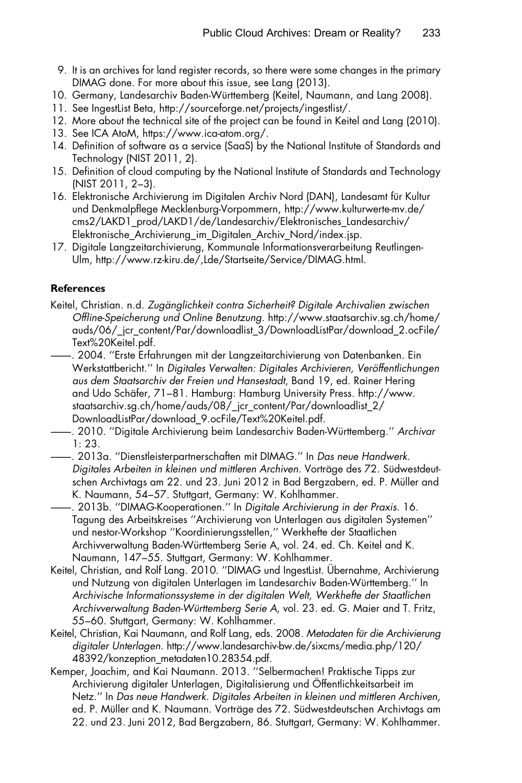- <span id="page-6-0"></span>9. It is an archives for land register records, so there were some changes in the primary DIMAG done. For more about this issue, see [Lang \(2013\).](#page-7-0)
- 10. Germany, Landesarchiv Baden-Wu¨rttemberg (Keitel, Naumann, and Lang 2008).
- 11. See IngestList Beta, [http://sourceforge.net/projects/ingestlist/.](http://sourceforge.net/projects/ingestlist/)
- 12. More about the technical site of the project can be found in Keitel and Lang (2010).
- 13. See ICA AtoM,<https://www.ica-atom.org/>.
- 14. Definition of software as a service (SaaS) by the National Institute of Standards and Technology ([NIST 2011](#page-7-0), 2).
- 15. Definition of cloud computing by the National Institute of Standards and Technology [\(NIST 2011](#page-7-0), 2–3).
- 16. Elektronische Archivierung im Digitalen Archiv Nord (DAN), Landesamt für Kultur und Denkmalpflege Mecklenburg-Vorpommern, [http://www.kulturwerte-mv.de/](http://www.kulturwerte-mv.de/cms2/LAKD1_prod/LAKD1/de/Landesarchiv/Elektronisches_Landesarchiv/Elektronische_Archivierung_im_Digitalen_Archiv_Nord/index.jsp) [cms2/LAKD1\\_prod/LAKD1/de/Landesarchiv/Elektronisches\\_Landesarchiv/](http://www.kulturwerte-mv.de/cms2/LAKD1_prod/LAKD1/de/Landesarchiv/Elektronisches_Landesarchiv/Elektronische_Archivierung_im_Digitalen_Archiv_Nord/index.jsp) [Elektronische\\_Archivierung\\_im\\_Digitalen\\_Archiv\\_Nord/index.jsp.](http://www.kulturwerte-mv.de/cms2/LAKD1_prod/LAKD1/de/Landesarchiv/Elektronisches_Landesarchiv/Elektronische_Archivierung_im_Digitalen_Archiv_Nord/index.jsp)
- 17. Digitale Langzeitarchivierung, Kommunale Informationsverarbeitung Reutlingen-Ulm, [http://www.rz-kiru.de/,Lde/Startseite/Service/DIMAG.html.](http://www.rz-kiru.de/,Lde/Startseite/Service/DIMAG.html)

### **References**

- Keitel, Christian. n.d. Zugänglichkeit contra Sicherheit? Digitale Archivalien zwischen Offline-Speicherung und Online Benutzung. [http://www.staatsarchiv.sg.ch/home/](http://www.staatsarchiv.sg.ch/home/auds/06/_jcr_content/Par/downloadlist_3/DownloadListPar/download_2.ocFile/Text%20Keitel.pdf) [auds/06/\\_jcr\\_content/Par/downloadlist\\_3/DownloadListPar/download\\_2.ocFile/](http://www.staatsarchiv.sg.ch/home/auds/06/_jcr_content/Par/downloadlist_3/DownloadListPar/download_2.ocFile/Text%20Keitel.pdf) [Text%20Keitel.pdf](http://www.staatsarchiv.sg.ch/home/auds/06/_jcr_content/Par/downloadlist_3/DownloadListPar/download_2.ocFile/Text%20Keitel.pdf).
- ——. 2004. ''Erste Erfahrungen mit der Langzeitarchivierung von Datenbanken. Ein Werkstattbericht." In Digitales Verwalten: Digitales Archivieren, Veröffentlichungen aus dem Staatsarchiv der Freien und Hansestadt, Band 19, ed. Rainer Hering and Udo Schäfer, 71–81. Hamburg: Hamburg University Press. [http://www.](http://www.staatsarchiv.sg.ch/home/auds/08/_jcr_content/Par/downloadlist_2/DownloadListPar/download_9.ocFile/Text%20Keitel.pdf) [staatsarchiv.sg.ch/home/auds/08/\\_jcr\\_content/Par/downloadlist\\_2/](http://www.staatsarchiv.sg.ch/home/auds/08/_jcr_content/Par/downloadlist_2/DownloadListPar/download_9.ocFile/Text%20Keitel.pdf) [DownloadListPar/download\\_9.ocFile/Text%20Keitel.pdf](http://www.staatsarchiv.sg.ch/home/auds/08/_jcr_content/Par/downloadlist_2/DownloadListPar/download_9.ocFile/Text%20Keitel.pdf).
- 2010. "Digitale Archivierung beim Landesarchiv Baden-Württemberg." Archivar 1: 23.
- ——. 2013a. ''Dienstleisterpartnerschaften mit DIMAG.'' In Das neue Handwerk. Digitales Arbeiten in kleinen und mittleren Archiven. Vorträge des 72. Südwestdeutschen Archivtags am 22. und 23. Juni 2012 in Bad Bergzabern, ed. P. Müller and K. Naumann, 54–57. Stuttgart, Germany: W. Kohlhammer.
- ——. 2013b. ''DIMAG-Kooperationen.'' In Digitale Archivierung in der Praxis. 16. Tagung des Arbeitskreises ''Archivierung von Unterlagen aus digitalen Systemen'' und nestor-Workshop ''Koordinierungsstellen,'' Werkhefte der Staatlichen Archivverwaltung Baden-Württemberg Serie A, vol. 24. ed. Ch. Keitel and K. Naumann, 147–55. Stuttgart, Germany: W. Kohlhammer.
- Keitel, Christian, and Rolf Lang. 2010. "DIMAG und IngestList. Übernahme, Archivierung und Nutzung von digitalen Unterlagen im Landesarchiv Baden-Württemberg." In Archivische Informationssysteme in der digitalen Welt, Werkhefte der Staatlichen Archivverwaltung Baden-Württemberg Serie A, vol. 23. ed. G. Maier and T. Fritz, 55–60. Stuttgart, Germany: W. Kohlhammer.
- Keitel, Christian, Kai Naumann, and Rolf Lang, eds. 2008. Metadaten für die Archivierung digitaler Unterlagen. [http://www.landesarchiv-bw.de/sixcms/media.php/120/](http://www.landesarchiv-bw.de/sixcms/media.php/120/48392/konzeption_metadaten10.28354.pdf) [48392/konzeption\\_metadaten10.28354.pdf.](http://www.landesarchiv-bw.de/sixcms/media.php/120/48392/konzeption_metadaten10.28354.pdf)
- Kemper, Joachim, and Kai Naumann. 2013. ''Selbermachen! Praktische Tipps zur Archivierung digitaler Unterlagen, Digitalisierung und Öffentlichkeitsarbeit im Netz.'' In Das neue Handwerk. Digitales Arbeiten in kleinen und mittleren Archiven, ed. P. Müller and K. Naumann. Vorträge des 72. Südwestdeutschen Archivtags am 22. und 23. Juni 2012, Bad Bergzabern, 86. Stuttgart, Germany: W. Kohlhammer.